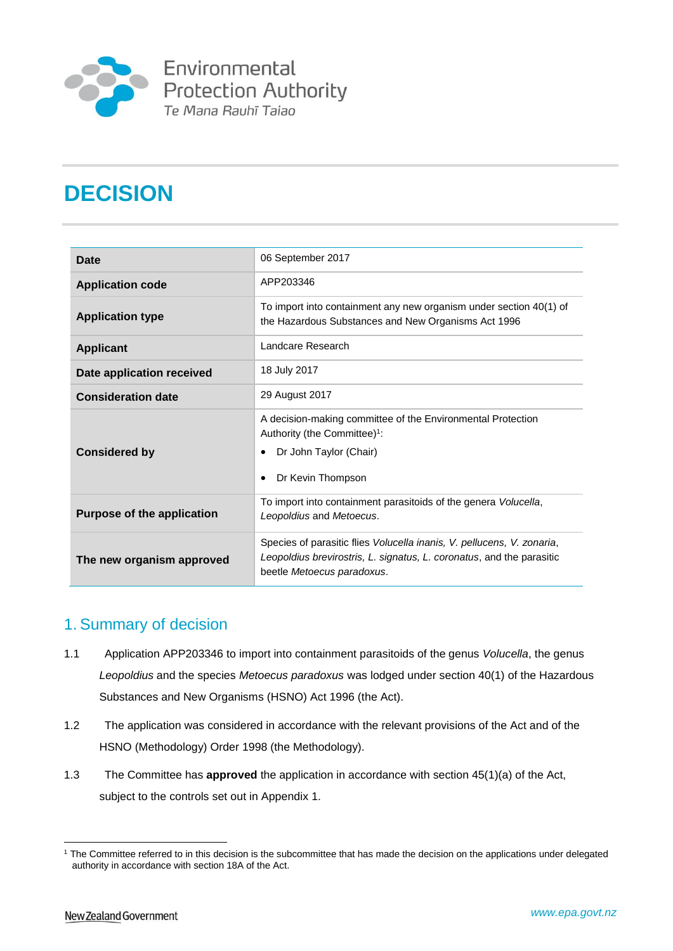

Environmental Protection Authority Te Mana Rauhī Tajao

# **DECISION**

| Date                              | 06 September 2017                                                                                                                                                             |
|-----------------------------------|-------------------------------------------------------------------------------------------------------------------------------------------------------------------------------|
| <b>Application code</b>           | APP203346                                                                                                                                                                     |
| <b>Application type</b>           | To import into containment any new organism under section 40(1) of<br>the Hazardous Substances and New Organisms Act 1996                                                     |
| <b>Applicant</b>                  | Landcare Research                                                                                                                                                             |
| Date application received         | 18 July 2017                                                                                                                                                                  |
| <b>Consideration date</b>         | 29 August 2017                                                                                                                                                                |
| <b>Considered by</b>              | A decision-making committee of the Environmental Protection<br>Authority (the Committee) <sup>1</sup> :<br>Dr John Taylor (Chair)<br>Dr Kevin Thompson                        |
| <b>Purpose of the application</b> | To import into containment parasitoids of the genera Volucella,<br>Leopoldius and Metoecus.                                                                                   |
| The new organism approved         | Species of parasitic flies Volucella inanis, V. pellucens, V. zonaria,<br>Leopoldius brevirostris, L. signatus, L. coronatus, and the parasitic<br>beetle Metoecus paradoxus. |

## 1. Summary of decision

- 1.1 Application APP203346 to import into containment parasitoids of the genus *Volucella*, the genus *Leopoldius* and the species *Metoecus paradoxus* was lodged under section 40(1) of the Hazardous Substances and New Organisms (HSNO) Act 1996 (the Act).
- 1.2 The application was considered in accordance with the relevant provisions of the Act and of the HSNO (Methodology) Order 1998 (the Methodology).
- 1.3 The Committee has **approved** the application in accordance with section 45(1)(a) of the Act, subject to the controls set out in Appendix 1.

<sup>&</sup>lt;u>.</u> <sup>1</sup> The Committee referred to in this decision is the subcommittee that has made the decision on the applications under delegated authority in accordance with section 18A of the Act.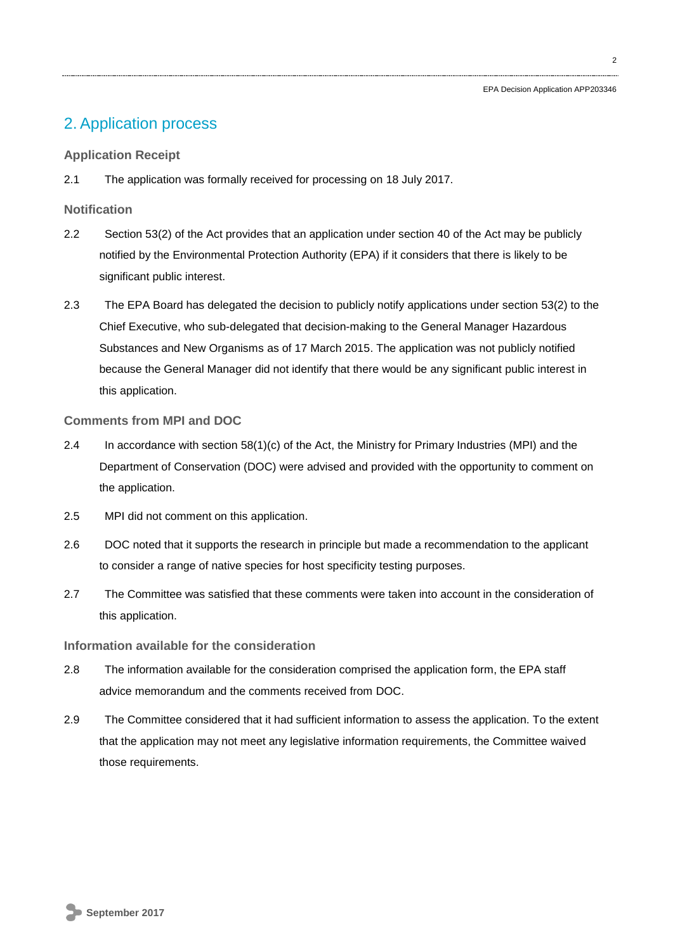$\overline{2}$ 

## 2. Application process

## **Application Receipt**

2.1 The application was formally received for processing on 18 July 2017.

## **Notification**

- 2.2 Section 53(2) of the Act provides that an application under section 40 of the Act may be publicly notified by the Environmental Protection Authority (EPA) if it considers that there is likely to be significant public interest.
- 2.3 The EPA Board has delegated the decision to publicly notify applications under section 53(2) to the Chief Executive, who sub-delegated that decision-making to the General Manager Hazardous Substances and New Organisms as of 17 March 2015. The application was not publicly notified because the General Manager did not identify that there would be any significant public interest in this application.

## **Comments from MPI and DOC**

- 2.4 In accordance with section 58(1)(c) of the Act, the Ministry for Primary Industries (MPI) and the Department of Conservation (DOC) were advised and provided with the opportunity to comment on the application.
- 2.5 MPI did not comment on this application.
- 2.6 DOC noted that it supports the research in principle but made a recommendation to the applicant to consider a range of native species for host specificity testing purposes.
- 2.7 The Committee was satisfied that these comments were taken into account in the consideration of this application.

## **Information available for the consideration**

- 2.8 The information available for the consideration comprised the application form, the EPA staff advice memorandum and the comments received from DOC.
- 2.9 The Committee considered that it had sufficient information to assess the application. To the extent that the application may not meet any legislative information requirements, the Committee waived those requirements.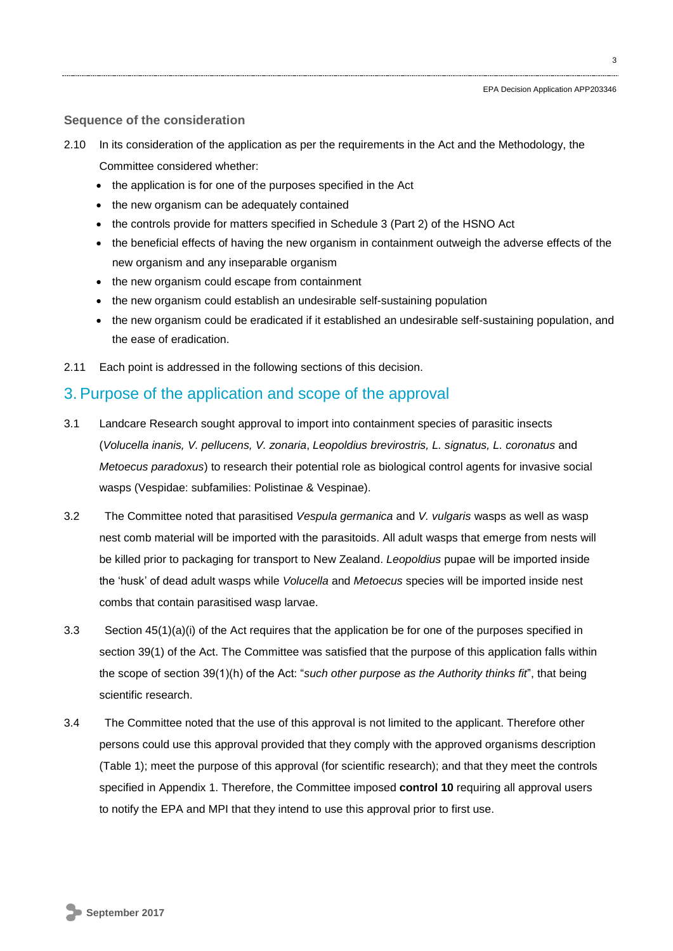### **Sequence of the consideration**

2.10 In its consideration of the application as per the requirements in the Act and the Methodology, the Committee considered whether:

- the application is for one of the purposes specified in the Act
- the new organism can be adequately contained
- the controls provide for matters specified in Schedule 3 (Part 2) of the HSNO Act
- the beneficial effects of having the new organism in containment outweigh the adverse effects of the new organism and any inseparable organism
- the new organism could escape from containment
- the new organism could establish an undesirable self-sustaining population
- the new organism could be eradicated if it established an undesirable self-sustaining population, and the ease of eradication.
- 2.11 Each point is addressed in the following sections of this decision.

## 3. Purpose of the application and scope of the approval

- 3.1 Landcare Research sought approval to import into containment species of parasitic insects (*Volucella inanis, V. pellucens, V. zonaria*, *Leopoldius brevirostris, L. signatus, L. coronatus* and *Metoecus paradoxus*) to research their potential role as biological control agents for invasive social wasps (Vespidae: subfamilies: Polistinae & Vespinae).
- 3.2 The Committee noted that parasitised *Vespula germanica* and *V. vulgaris* wasps as well as wasp nest comb material will be imported with the parasitoids. All adult wasps that emerge from nests will be killed prior to packaging for transport to New Zealand. *Leopoldius* pupae will be imported inside the 'husk' of dead adult wasps while *Volucella* and *Metoecus* species will be imported inside nest combs that contain parasitised wasp larvae.
- 3.3 Section 45(1)(a)(i) of the Act requires that the application be for one of the purposes specified in section 39(1) of the Act. The Committee was satisfied that the purpose of this application falls within the scope of section 39(1)(h) of the Act: "*such other purpose as the Authority thinks fit*", that being scientific research.
- 3.4 The Committee noted that the use of this approval is not limited to the applicant. Therefore other persons could use this approval provided that they comply with the approved organisms description (Table 1); meet the purpose of this approval (for scientific research); and that they meet the controls specified in Appendix 1. Therefore, the Committee imposed **control 10** requiring all approval users to notify the EPA and MPI that they intend to use this approval prior to first use.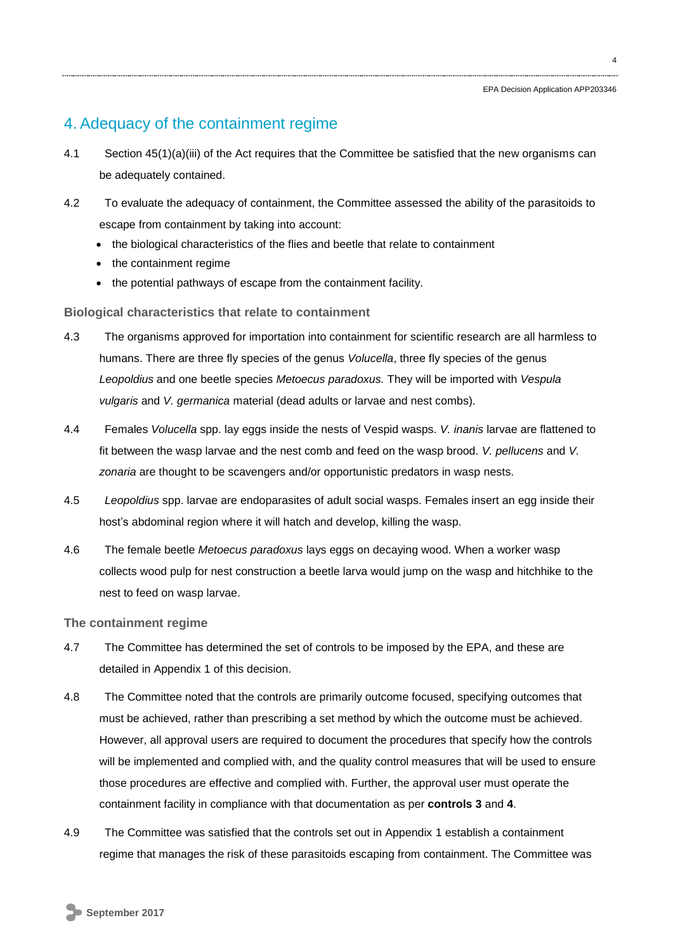## 4. Adequacy of the containment regime

- 4.1 Section 45(1)(a)(iii) of the Act requires that the Committee be satisfied that the new organisms can be adequately contained.
- 4.2 To evaluate the adequacy of containment, the Committee assessed the ability of the parasitoids to escape from containment by taking into account:
	- the biological characteristics of the flies and beetle that relate to containment
	- the containment regime
	- the potential pathways of escape from the containment facility.

## **Biological characteristics that relate to containment**

- 4.3 The organisms approved for importation into containment for scientific research are all harmless to humans. There are three fly species of the genus *Volucella*, three fly species of the genus *Leopoldius* and one beetle species *Metoecus paradoxus.* They will be imported with *Vespula vulgaris* and *V. germanica* material (dead adults or larvae and nest combs).
- 4.4 Females *Volucella* spp. lay eggs inside the nests of Vespid wasps. *V. inanis* larvae are flattened to fit between the wasp larvae and the nest comb and feed on the wasp brood. *V. pellucens* and *V. zonaria* are thought to be scavengers and/or opportunistic predators in wasp nests.
- 4.5 *Leopoldius* spp. larvae are endoparasites of adult social wasps. Females insert an egg inside their host's abdominal region where it will hatch and develop, killing the wasp.
- 4.6 The female beetle *Metoecus paradoxus* lays eggs on decaying wood. When a worker wasp collects wood pulp for nest construction a beetle larva would jump on the wasp and hitchhike to the nest to feed on wasp larvae.

## **The containment regime**

- 4.7 The Committee has determined the set of controls to be imposed by the EPA, and these are detailed in Appendix 1 of this decision.
- 4.8 The Committee noted that the controls are primarily outcome focused, specifying outcomes that must be achieved, rather than prescribing a set method by which the outcome must be achieved. However, all approval users are required to document the procedures that specify how the controls will be implemented and complied with, and the quality control measures that will be used to ensure those procedures are effective and complied with. Further, the approval user must operate the containment facility in compliance with that documentation as per **controls 3** and **4**.
- 4.9 The Committee was satisfied that the controls set out in Appendix 1 establish a containment regime that manages the risk of these parasitoids escaping from containment. The Committee was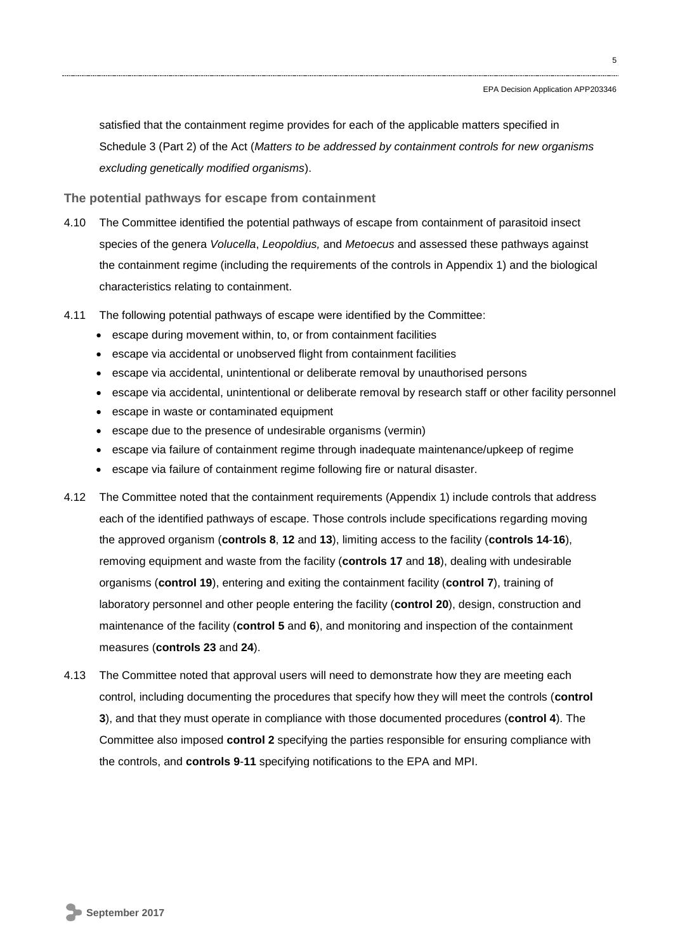satisfied that the containment regime provides for each of the applicable matters specified in Schedule 3 (Part 2) of the Act (*Matters to be addressed by containment controls for new organisms excluding genetically modified organisms*).

**The potential pathways for escape from containment** 

- 4.10 The Committee identified the potential pathways of escape from containment of parasitoid insect species of the genera *Volucella*, *Leopoldius,* and *Metoecus* and assessed these pathways against the containment regime (including the requirements of the controls in Appendix 1) and the biological characteristics relating to containment.
- 4.11 The following potential pathways of escape were identified by the Committee:
	- escape during movement within, to, or from containment facilities
	- escape via accidental or unobserved flight from containment facilities
	- escape via accidental, unintentional or deliberate removal by unauthorised persons
	- escape via accidental, unintentional or deliberate removal by research staff or other facility personnel
	- escape in waste or contaminated equipment
	- escape due to the presence of undesirable organisms (vermin)
	- escape via failure of containment regime through inadequate maintenance/upkeep of regime
	- escape via failure of containment regime following fire or natural disaster.
- 4.12 The Committee noted that the containment requirements (Appendix 1) include controls that address each of the identified pathways of escape. Those controls include specifications regarding moving the approved organism (**controls 8**, **12** and **13**), limiting access to the facility (**controls 14**-**16**), removing equipment and waste from the facility (**controls 17** and **18**), dealing with undesirable organisms (**control 19**), entering and exiting the containment facility (**control 7**), training of laboratory personnel and other people entering the facility (**control 20**), design, construction and maintenance of the facility (**control 5** and **6**), and monitoring and inspection of the containment measures (**controls 23** and **24**).
- 4.13 The Committee noted that approval users will need to demonstrate how they are meeting each control, including documenting the procedures that specify how they will meet the controls (**control 3**), and that they must operate in compliance with those documented procedures (**control 4**). The Committee also imposed **control 2** specifying the parties responsible for ensuring compliance with the controls, and **controls 9**-**11** specifying notifications to the EPA and MPI.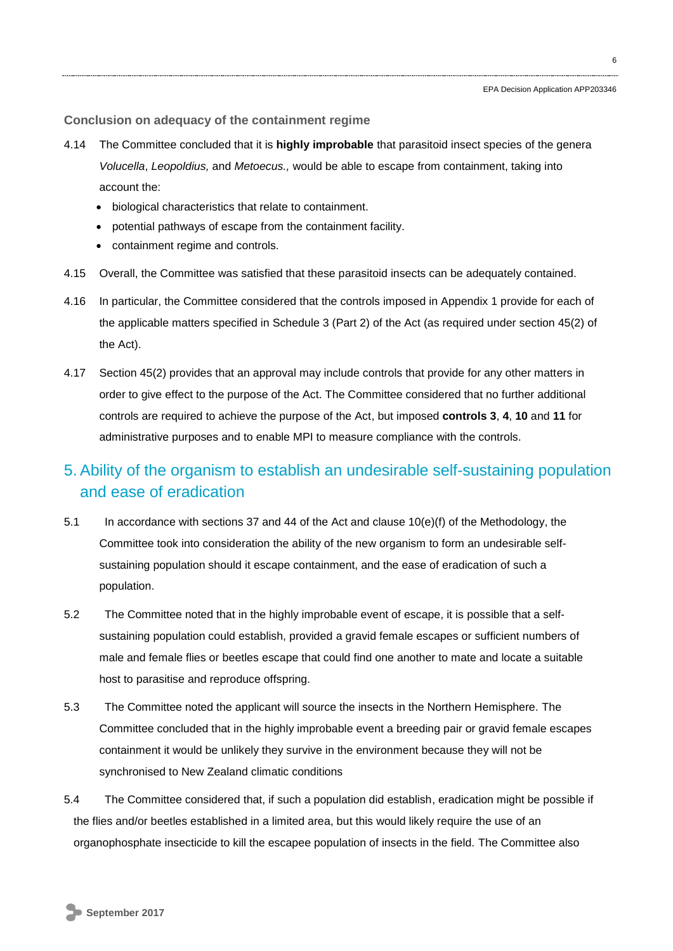#### **Conclusion on adequacy of the containment regime**

- 4.14 The Committee concluded that it is **highly improbable** that parasitoid insect species of the genera *Volucella*, *Leopoldius,* and *Metoecus.,* would be able to escape from containment, taking into account the:
	- biological characteristics that relate to containment.
	- potential pathways of escape from the containment facility.
	- containment regime and controls.
- 4.15 Overall, the Committee was satisfied that these parasitoid insects can be adequately contained.
- 4.16 In particular, the Committee considered that the controls imposed in Appendix 1 provide for each of the applicable matters specified in Schedule 3 (Part 2) of the Act (as required under section 45(2) of the Act).
- 4.17 Section 45(2) provides that an approval may include controls that provide for any other matters in order to give effect to the purpose of the Act. The Committee considered that no further additional controls are required to achieve the purpose of the Act, but imposed **controls 3**, **4**, **10** and **11** for administrative purposes and to enable MPI to measure compliance with the controls.

## 5. Ability of the organism to establish an undesirable self-sustaining population and ease of eradication

- 5.1 In accordance with sections 37 and 44 of the Act and clause 10(e)(f) of the Methodology, the Committee took into consideration the ability of the new organism to form an undesirable selfsustaining population should it escape containment, and the ease of eradication of such a population.
- 5.2 The Committee noted that in the highly improbable event of escape, it is possible that a selfsustaining population could establish, provided a gravid female escapes or sufficient numbers of male and female flies or beetles escape that could find one another to mate and locate a suitable host to parasitise and reproduce offspring.
- 5.3 The Committee noted the applicant will source the insects in the Northern Hemisphere. The Committee concluded that in the highly improbable event a breeding pair or gravid female escapes containment it would be unlikely they survive in the environment because they will not be synchronised to New Zealand climatic conditions
- 5.4 The Committee considered that, if such a population did establish, eradication might be possible if the flies and/or beetles established in a limited area, but this would likely require the use of an organophosphate insecticide to kill the escapee population of insects in the field. The Committee also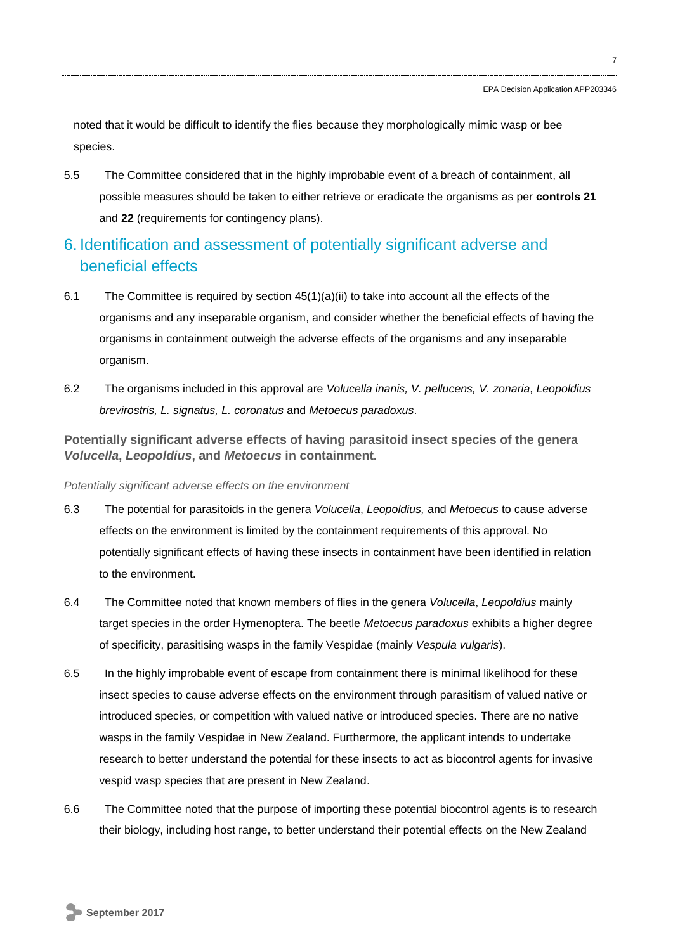noted that it would be difficult to identify the flies because they morphologically mimic wasp or bee species.

5.5 The Committee considered that in the highly improbable event of a breach of containment, all possible measures should be taken to either retrieve or eradicate the organisms as per **controls 21** and **22** (requirements for contingency plans).

## 6. Identification and assessment of potentially significant adverse and beneficial effects

- 6.1 The Committee is required by section  $45(1)(a)(ii)$  to take into account all the effects of the organisms and any inseparable organism, and consider whether the beneficial effects of having the organisms in containment outweigh the adverse effects of the organisms and any inseparable organism.
- 6.2 The organisms included in this approval are *Volucella inanis, V. pellucens, V. zonaria*, *Leopoldius brevirostris, L. signatus, L. coronatus* and *Metoecus paradoxus*.

**Potentially significant adverse effects of having parasitoid insect species of the genera**  *Volucella***,** *Leopoldius***, and** *Metoecus* **in containment.**

#### *Potentially significant adverse effects on the environment*

- 6.3 The potential for parasitoids in the genera *Volucella*, *Leopoldius,* and *Metoecus* to cause adverse effects on the environment is limited by the containment requirements of this approval. No potentially significant effects of having these insects in containment have been identified in relation to the environment.
- 6.4 The Committee noted that known members of flies in the genera *Volucella*, *Leopoldius* mainly target species in the order Hymenoptera. The beetle *Metoecus paradoxus* exhibits a higher degree of specificity, parasitising wasps in the family Vespidae (mainly *Vespula vulgaris*).
- 6.5 In the highly improbable event of escape from containment there is minimal likelihood for these insect species to cause adverse effects on the environment through parasitism of valued native or introduced species, or competition with valued native or introduced species. There are no native wasps in the family Vespidae in New Zealand. Furthermore, the applicant intends to undertake research to better understand the potential for these insects to act as biocontrol agents for invasive vespid wasp species that are present in New Zealand.
- 6.6 The Committee noted that the purpose of importing these potential biocontrol agents is to research their biology, including host range, to better understand their potential effects on the New Zealand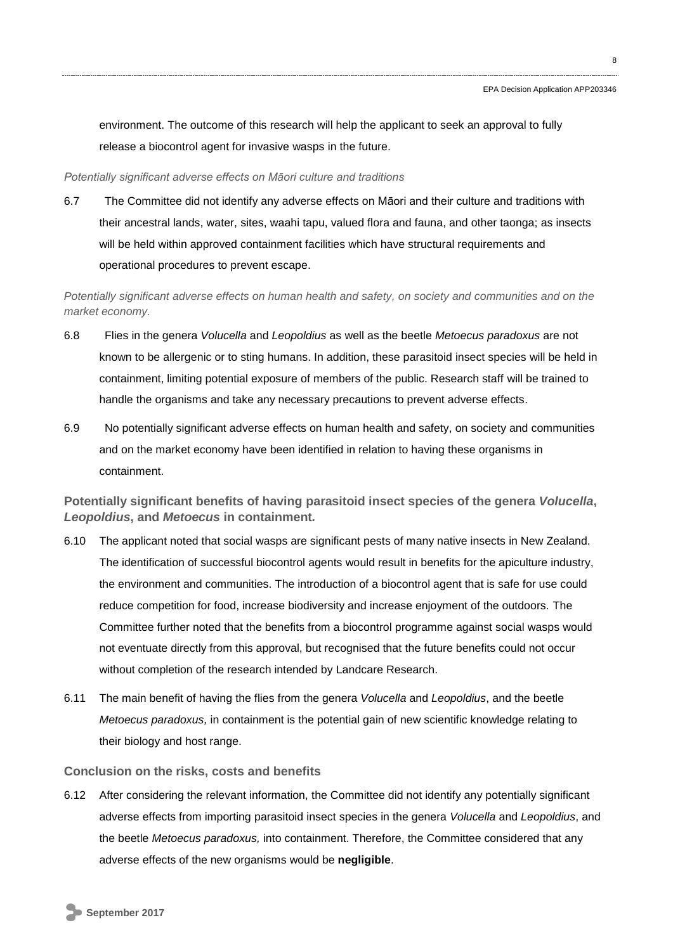environment. The outcome of this research will help the applicant to seek an approval to fully release a biocontrol agent for invasive wasps in the future.

#### *Potentially significant adverse effects on Māori culture and traditions*

6.7 The Committee did not identify any adverse effects on Māori and their culture and traditions with their ancestral lands, water, sites, waahi tapu, valued flora and fauna, and other taonga; as insects will be held within approved containment facilities which have structural requirements and operational procedures to prevent escape.

*Potentially significant adverse effects on human health and safety, on society and communities and on the market economy.*

- 6.8 Flies in the genera *Volucella* and *Leopoldius* as well as the beetle *Metoecus paradoxus* are not known to be allergenic or to sting humans. In addition, these parasitoid insect species will be held in containment, limiting potential exposure of members of the public. Research staff will be trained to handle the organisms and take any necessary precautions to prevent adverse effects.
- 6.9 No potentially significant adverse effects on human health and safety, on society and communities and on the market economy have been identified in relation to having these organisms in containment.

**Potentially significant benefits of having parasitoid insect species of the genera** *Volucella***,**  *Leopoldius***, and** *Metoecus* **in containment***.*

- 6.10 The applicant noted that social wasps are significant pests of many native insects in New Zealand. The identification of successful biocontrol agents would result in benefits for the apiculture industry, the environment and communities. The introduction of a biocontrol agent that is safe for use could reduce competition for food, increase biodiversity and increase enjoyment of the outdoors. The Committee further noted that the benefits from a biocontrol programme against social wasps would not eventuate directly from this approval, but recognised that the future benefits could not occur without completion of the research intended by Landcare Research.
- 6.11 The main benefit of having the flies from the genera *Volucella* and *Leopoldius*, and the beetle *Metoecus paradoxus,* in containment is the potential gain of new scientific knowledge relating to their biology and host range.

#### **Conclusion on the risks, costs and benefits**

6.12 After considering the relevant information, the Committee did not identify any potentially significant adverse effects from importing parasitoid insect species in the genera *Volucella* and *Leopoldius*, and the beetle *Metoecus paradoxus,* into containment. Therefore, the Committee considered that any adverse effects of the new organisms would be **negligible**.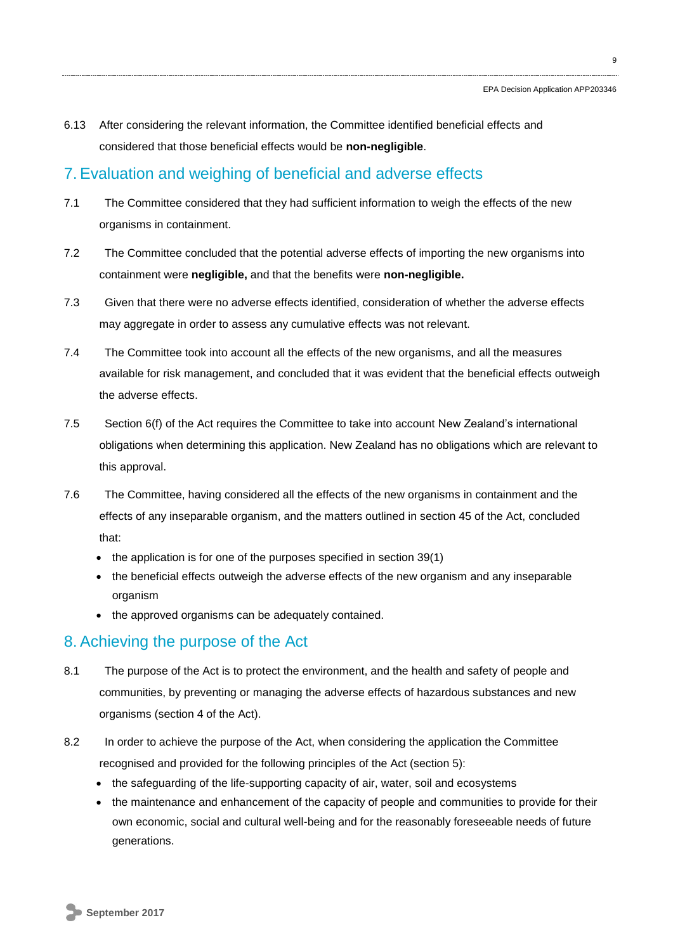6.13 After considering the relevant information, the Committee identified beneficial effects and considered that those beneficial effects would be **non-negligible**.

## 7. Evaluation and weighing of beneficial and adverse effects

- 7.1 The Committee considered that they had sufficient information to weigh the effects of the new organisms in containment.
- 7.2 The Committee concluded that the potential adverse effects of importing the new organisms into containment were **negligible,** and that the benefits were **non-negligible.**
- 7.3 Given that there were no adverse effects identified, consideration of whether the adverse effects may aggregate in order to assess any cumulative effects was not relevant.
- 7.4 The Committee took into account all the effects of the new organisms, and all the measures available for risk management, and concluded that it was evident that the beneficial effects outweigh the adverse effects.
- 7.5 Section 6(f) of the Act requires the Committee to take into account New Zealand's international obligations when determining this application. New Zealand has no obligations which are relevant to this approval.
- 7.6 The Committee, having considered all the effects of the new organisms in containment and the effects of any inseparable organism, and the matters outlined in section 45 of the Act, concluded that:
	- the application is for one of the purposes specified in section 39(1)
	- the beneficial effects outweigh the adverse effects of the new organism and any inseparable organism
	- the approved organisms can be adequately contained.

## 8. Achieving the purpose of the Act

- 8.1 The purpose of the Act is to protect the environment, and the health and safety of people and communities, by preventing or managing the adverse effects of hazardous substances and new organisms (section 4 of the Act).
- 8.2 In order to achieve the purpose of the Act, when considering the application the Committee recognised and provided for the following principles of the Act (section 5):
	- the safeguarding of the life-supporting capacity of air, water, soil and ecosystems
	- the maintenance and enhancement of the capacity of people and communities to provide for their own economic, social and cultural well-being and for the reasonably foreseeable needs of future generations.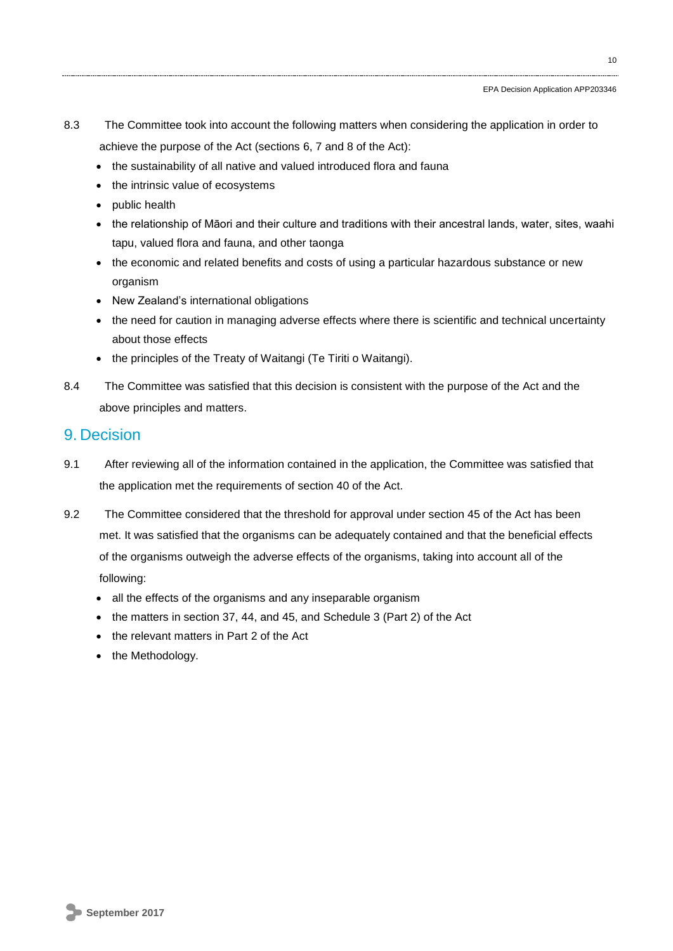- 8.3 The Committee took into account the following matters when considering the application in order to achieve the purpose of the Act (sections 6, 7 and 8 of the Act):
	- the sustainability of all native and valued introduced flora and fauna
	- the intrinsic value of ecosystems
	- public health
	- the relationship of Māori and their culture and traditions with their ancestral lands, water, sites, waahi tapu, valued flora and fauna, and other taonga
	- the economic and related benefits and costs of using a particular hazardous substance or new organism
	- New Zealand's international obligations
	- the need for caution in managing adverse effects where there is scientific and technical uncertainty about those effects
	- the principles of the Treaty of Waitangi (Te Tiriti o Waitangi).
- 8.4 The Committee was satisfied that this decision is consistent with the purpose of the Act and the above principles and matters.

## 9. Decision

- 9.1 After reviewing all of the information contained in the application, the Committee was satisfied that the application met the requirements of section 40 of the Act.
- 9.2 The Committee considered that the threshold for approval under section 45 of the Act has been met. It was satisfied that the organisms can be adequately contained and that the beneficial effects of the organisms outweigh the adverse effects of the organisms, taking into account all of the following:
	- all the effects of the organisms and any inseparable organism
	- the matters in section 37, 44, and 45, and Schedule 3 (Part 2) of the Act
	- the relevant matters in Part 2 of the Act
	- the Methodology.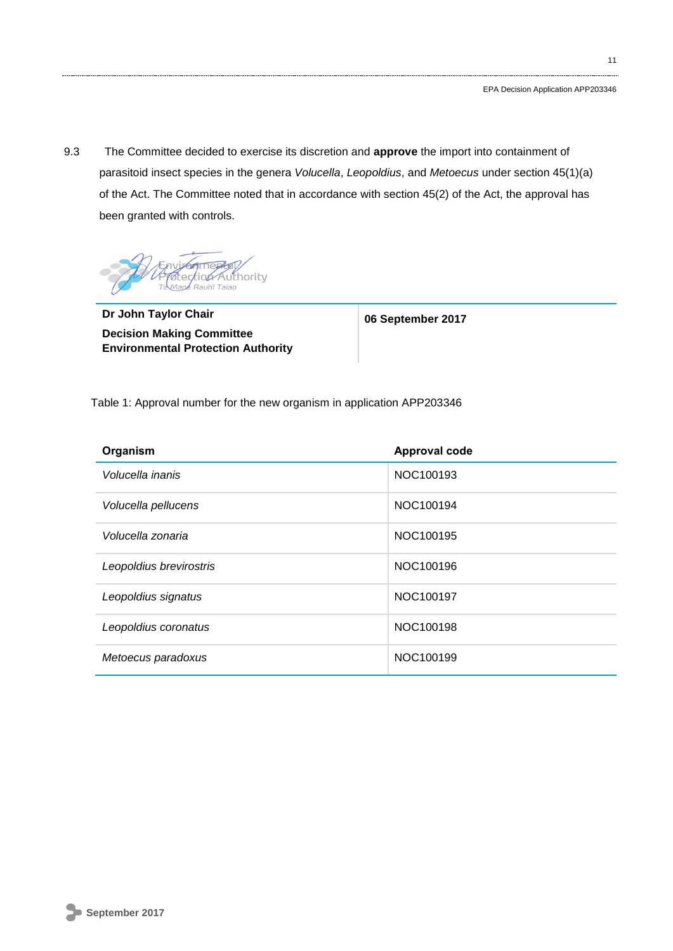9.3 The Committee decided to exercise its discretion and **approve** the import into containment of parasitoid insect species in the genera *Volucella*, *Leopoldius*, and *Metoecus* under section 45(1)(a) of the Act. The Committee noted that in accordance with section 45(2) of the Act, the approval has been granted with controls.



**Dr John Taylor Chair Decision Making Committee Environmental Protection Authority**

**06 September 2017**

Table 1: Approval number for the new organism in application APP203346

| Organism                | <b>Approval code</b> |
|-------------------------|----------------------|
| Volucella inanis        | NOC100193            |
| Volucella pellucens     | NOC100194            |
| Volucella zonaria       | NOC100195            |
| Leopoldius brevirostris | NOC100196            |
| Leopoldius signatus     | NOC100197            |
| Leopoldius coronatus    | NOC100198            |
| Metoecus paradoxus      | NOC100199            |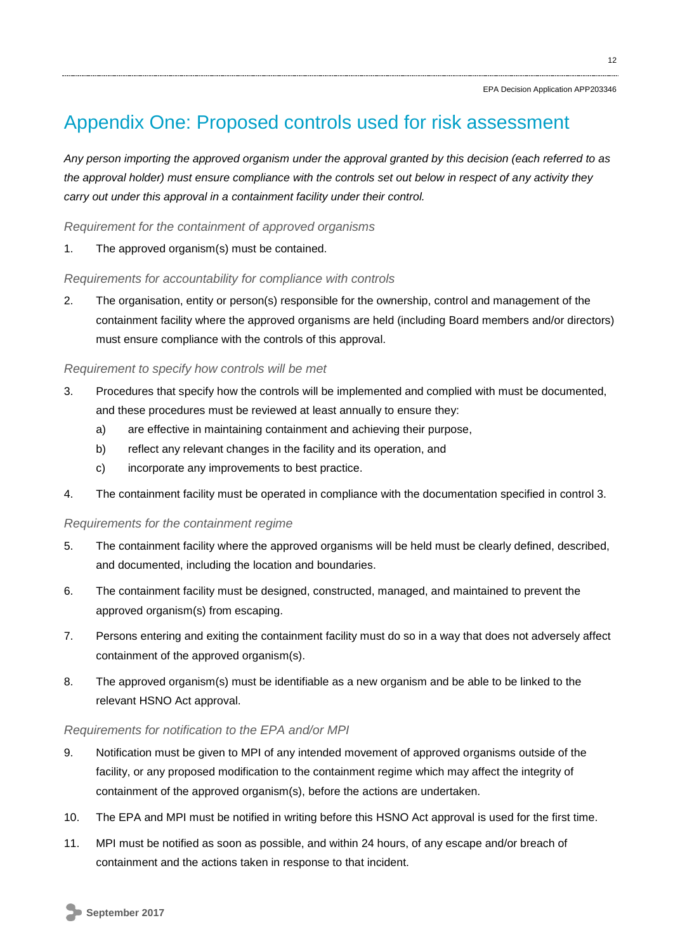## Appendix One: Proposed controls used for risk assessment

*Any person importing the approved organism under the approval granted by this decision (each referred to as the approval holder) must ensure compliance with the controls set out below in respect of any activity they carry out under this approval in a containment facility under their control.*

*Requirement for the containment of approved organisms*

1. The approved organism(s) must be contained.

## *Requirements for accountability for compliance with controls*

2. The organisation, entity or person(s) responsible for the ownership, control and management of the containment facility where the approved organisms are held (including Board members and/or directors) must ensure compliance with the controls of this approval.

## *Requirement to specify how controls will be met*

- 3. Procedures that specify how the controls will be implemented and complied with must be documented, and these procedures must be reviewed at least annually to ensure they:
	- a) are effective in maintaining containment and achieving their purpose,
	- b) reflect any relevant changes in the facility and its operation, and
	- c) incorporate any improvements to best practice.
- 4. The containment facility must be operated in compliance with the documentation specified in control 3.

### *Requirements for the containment regime*

- 5. The containment facility where the approved organisms will be held must be clearly defined, described, and documented, including the location and boundaries.
- 6. The containment facility must be designed, constructed, managed, and maintained to prevent the approved organism(s) from escaping.
- 7. Persons entering and exiting the containment facility must do so in a way that does not adversely affect containment of the approved organism(s).
- 8. The approved organism(s) must be identifiable as a new organism and be able to be linked to the relevant HSNO Act approval.

### *Requirements for notification to the EPA and/or MPI*

- 9. Notification must be given to MPI of any intended movement of approved organisms outside of the facility, or any proposed modification to the containment regime which may affect the integrity of containment of the approved organism(s), before the actions are undertaken.
- 10. The EPA and MPI must be notified in writing before this HSNO Act approval is used for the first time.
- 11. MPI must be notified as soon as possible, and within 24 hours, of any escape and/or breach of containment and the actions taken in response to that incident.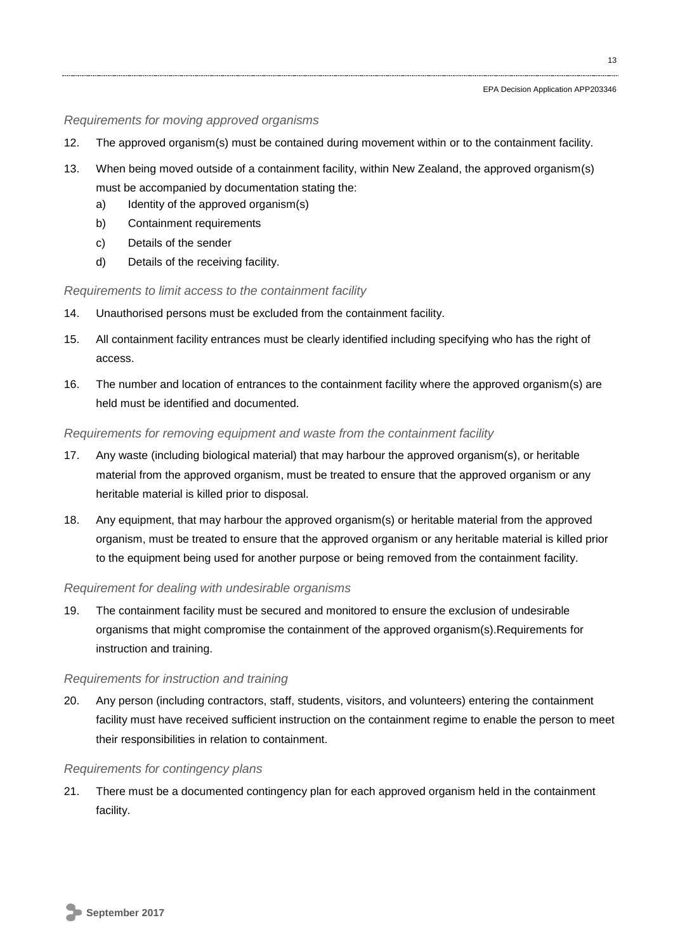### *Requirements for moving approved organisms*

- 12. The approved organism(s) must be contained during movement within or to the containment facility.
- 13. When being moved outside of a containment facility, within New Zealand, the approved organism(s) must be accompanied by documentation stating the:
	- a) Identity of the approved organism(s)
	- b) Containment requirements
	- c) Details of the sender
	- d) Details of the receiving facility.

## *Requirements to limit access to the containment facility*

- 14. Unauthorised persons must be excluded from the containment facility.
- 15. All containment facility entrances must be clearly identified including specifying who has the right of access.
- 16. The number and location of entrances to the containment facility where the approved organism(s) are held must be identified and documented.

## *Requirements for removing equipment and waste from the containment facility*

- 17. Any waste (including biological material) that may harbour the approved organism(s), or heritable material from the approved organism, must be treated to ensure that the approved organism or any heritable material is killed prior to disposal.
- 18. Any equipment, that may harbour the approved organism(s) or heritable material from the approved organism, must be treated to ensure that the approved organism or any heritable material is killed prior to the equipment being used for another purpose or being removed from the containment facility.

## *Requirement for dealing with undesirable organisms*

19. The containment facility must be secured and monitored to ensure the exclusion of undesirable organisms that might compromise the containment of the approved organism(s).Requirements for instruction and training.

### *Requirements for instruction and training*

20. Any person (including contractors, staff, students, visitors, and volunteers) entering the containment facility must have received sufficient instruction on the containment regime to enable the person to meet their responsibilities in relation to containment.

### *Requirements for contingency plans*

21. There must be a documented contingency plan for each approved organism held in the containment facility.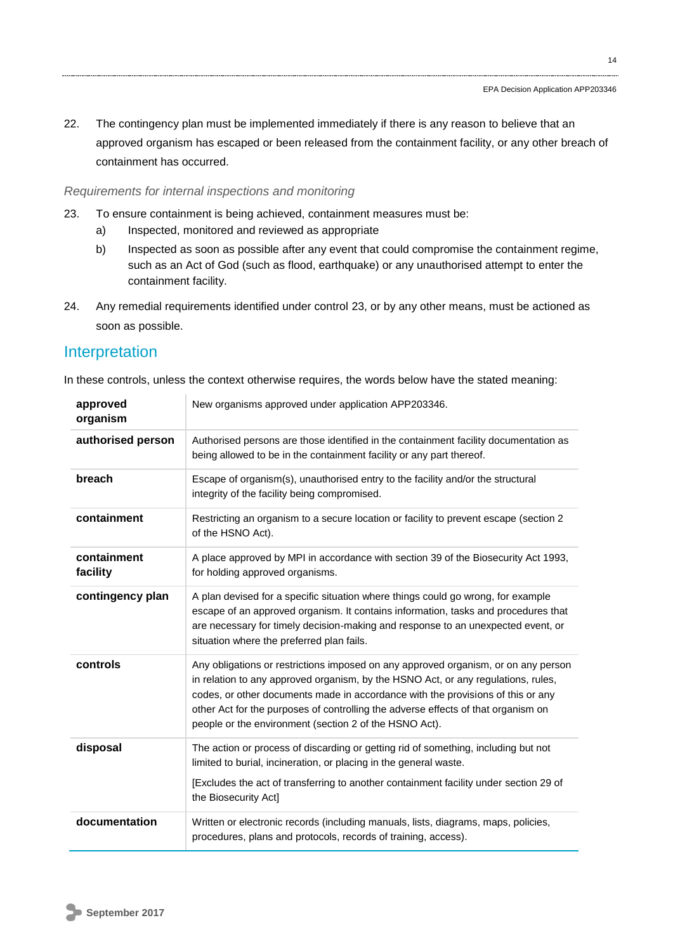22. The contingency plan must be implemented immediately if there is any reason to believe that an approved organism has escaped or been released from the containment facility, or any other breach of containment has occurred.

#### *Requirements for internal inspections and monitoring*

- 23. To ensure containment is being achieved, containment measures must be:
	- a) Inspected, monitored and reviewed as appropriate
	- b) Inspected as soon as possible after any event that could compromise the containment regime, such as an Act of God (such as flood, earthquake) or any unauthorised attempt to enter the containment facility.
- 24. Any remedial requirements identified under control 23, or by any other means, must be actioned as soon as possible.

## Interpretation

In these controls, unless the context otherwise requires, the words below have the stated meaning:

| approved<br>organism    | New organisms approved under application APP203346.                                                                                                                                                                                                                                                                                                                                                       |
|-------------------------|-----------------------------------------------------------------------------------------------------------------------------------------------------------------------------------------------------------------------------------------------------------------------------------------------------------------------------------------------------------------------------------------------------------|
| authorised person       | Authorised persons are those identified in the containment facility documentation as<br>being allowed to be in the containment facility or any part thereof.                                                                                                                                                                                                                                              |
| breach                  | Escape of organism(s), unauthorised entry to the facility and/or the structural<br>integrity of the facility being compromised.                                                                                                                                                                                                                                                                           |
| containment             | Restricting an organism to a secure location or facility to prevent escape (section 2<br>of the HSNO Act).                                                                                                                                                                                                                                                                                                |
| containment<br>facility | A place approved by MPI in accordance with section 39 of the Biosecurity Act 1993,<br>for holding approved organisms.                                                                                                                                                                                                                                                                                     |
| contingency plan        | A plan devised for a specific situation where things could go wrong, for example<br>escape of an approved organism. It contains information, tasks and procedures that<br>are necessary for timely decision-making and response to an unexpected event, or<br>situation where the preferred plan fails.                                                                                                   |
| controls                | Any obligations or restrictions imposed on any approved organism, or on any person<br>in relation to any approved organism, by the HSNO Act, or any regulations, rules,<br>codes, or other documents made in accordance with the provisions of this or any<br>other Act for the purposes of controlling the adverse effects of that organism on<br>people or the environment (section 2 of the HSNO Act). |
| disposal                | The action or process of discarding or getting rid of something, including but not<br>limited to burial, incineration, or placing in the general waste.<br>[Excludes the act of transferring to another containment facility under section 29 of<br>the Biosecurity Act]                                                                                                                                  |
| documentation           | Written or electronic records (including manuals, lists, diagrams, maps, policies,<br>procedures, plans and protocols, records of training, access).                                                                                                                                                                                                                                                      |